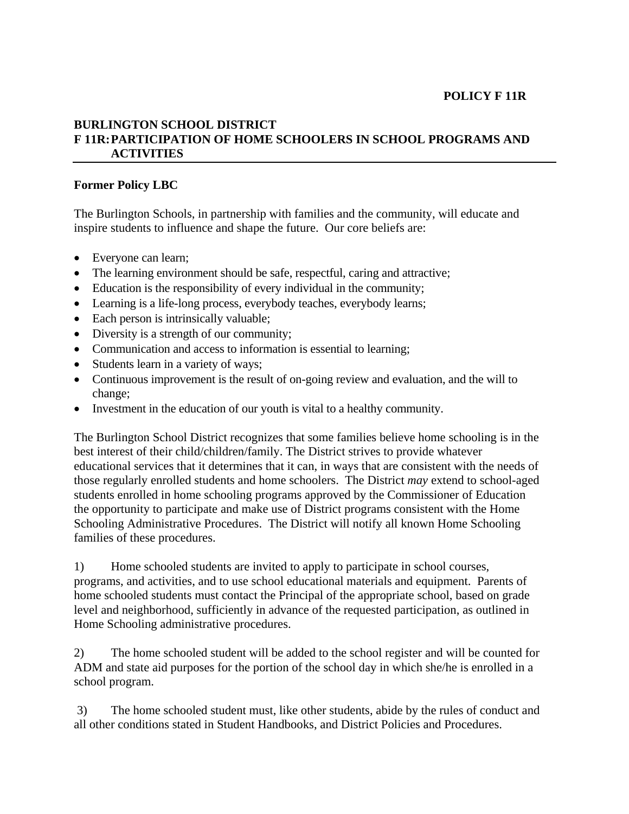## **POLICY F 11R**

## **BURLINGTON SCHOOL DISTRICT F 11R: PARTICIPATION OF HOME SCHOOLERS IN SCHOOL PROGRAMS AND ACTIVITIES**

## **Former Policy LBC**

The Burlington Schools, in partnership with families and the community, will educate and inspire students to influence and shape the future. Our core beliefs are:

- Everyone can learn;
- The learning environment should be safe, respectful, caring and attractive;
- Education is the responsibility of every individual in the community;
- Learning is a life-long process, everybody teaches, everybody learns;
- Each person is intrinsically valuable;
- Diversity is a strength of our community;
- Communication and access to information is essential to learning;
- Students learn in a variety of ways;
- Continuous improvement is the result of on-going review and evaluation, and the will to change;
- Investment in the education of our youth is vital to a healthy community.

The Burlington School District recognizes that some families believe home schooling is in the best interest of their child/children/family. The District strives to provide whatever educational services that it determines that it can, in ways that are consistent with the needs of those regularly enrolled students and home schoolers. The District *may* extend to school-aged students enrolled in home schooling programs approved by the Commissioner of Education the opportunity to participate and make use of District programs consistent with the Home Schooling Administrative Procedures. The District will notify all known Home Schooling families of these procedures.

1) Home schooled students are invited to apply to participate in school courses, programs, and activities, and to use school educational materials and equipment. Parents of home schooled students must contact the Principal of the appropriate school, based on grade level and neighborhood, sufficiently in advance of the requested participation, as outlined in Home Schooling administrative procedures.

2) The home schooled student will be added to the school register and will be counted for ADM and state aid purposes for the portion of the school day in which she/he is enrolled in a school program.

 3) The home schooled student must, like other students, abide by the rules of conduct and all other conditions stated in Student Handbooks, and District Policies and Procedures.